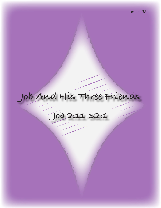# **Job And His Three Friends**

**Job 2:11-32:1**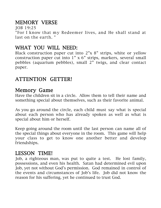# MEMORY VERSE

JOB 19:25 "For I know that my Redeemer lives, and He shall stand at last on the earth. "

# WHAT YOU WILL NEED:

Black construction paper cut into 2"x 8" strips, white or yellow construction paper cut into 1" x 6" strips, markers, several small pebbles (aquarium pebbles), small 2" twigs, and clear contact paper.

# ATTENTION GETTER!

## Memory Game

Have the children sit in a circle. Allow them to tell their name and something special about themselves, such as their favorite animal.

As you go around the circle, each child must say what is special about each person who has already spoken as well as what is special about him or herself.

Keep going around the room until the last person can name all of the special things about everyone in the room. This game will help your class to get to know one another better and develop friendships.

# LESSON TIME!

Job, a righteous man, was put to quite a test. He lost family, possessions, and even his health. Satan had determined evil upon Job, yet not without God's permission. God remained in control of the events and circumstances of Job's life. Job did not know the reason for his suffering, yet he continued to trust God.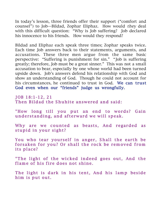In today's lesson, three friends offer their support ("comfort and counsel") to Job—Bildad, Zophar Eliphaz. How would they deal with this difficult question: "Why is Job suffering? Job declared his innocence to his friends. How would they respond?

Bildad and Eliphaz each speak three times; Zophar speaks twice. Each time Job answers back to their statements, arguments, and accusations. These three men argue from the same basic perspective: "Suffering is punishment for sin." "Job is suffering greatly; therefore, Job must be a great sinner." This was not a small accusation to bear, especially by one whose world had been turned upside down. Job's answers defend his relationship with God and show an understanding of God. Though he could not account for his circumstances, he continued to trust in God. We can trust God even when our "friends" judge us wrongfully.

J OB 18:1-12, 21 Then Bildad the Shuhite answered and said:

"How long till you put an end to words? Gain under standing, and afterward we will speak.

Why are we counted as beasts, And regarded as stupid in your sight?

You who tear yourself in anger, Shall the earth be forsaken for you? Or shall the rock be removed from its place?

"The light of the wicked indeed goes out, And the flame of his fire does not shine.

The light is dark in his tent, And his lamp beside him is put out.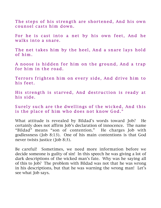The steps of his strength are shortened, And his own counsel casts him down.

For he is cast into a net by his own feet, And he walks into a snare.

The net takes him by the heel, And a snare lays hold of him .

A noose is hidden for him on the ground, And a trap for him in the road.

Terrors frighten him on every side, And drive him to his feet.

His strength is starved, And destruction is ready at his side.

Surely such are the dwellings of the wicked, And this is the place of him who does not know God."

What attitude is revealed by Bildad's words toward Job? He certainly does not affirm Job's declaration of innocence. The name "Bildad" means "son of contention." He charges Job with godlessness (Job 8:13). One of his main contentions is that God never twists justice (Job 8:3).

Be careful! Sometimes, we need more information before we decide someone is guilty of sin! In this speech he was giving a lot of dark descriptions of the wicked man's fate. Why was he saying all of this to Job? The problem with Bildad was not that he was wrong in his descriptions, but that he was warning the wrong man! Let's see what Job says.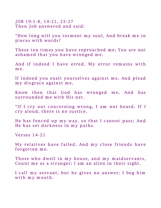J OB 19:1-8, 14-21, 25-27 Then Job answered and said:

"How long will you torment my soul, And break me in pieces with words?

These ten times you have reproached me; You are not ashamed that you have wronged me.

And if indeed I have erred, My error remains with m e.

If indeed you exalt yourselves against me, And plead my disgrace against me,

Know then that God has wronged me, And has surrounded me with His net.

"If I cry out concerning wrong, I am not heard. If I cry aloud, there is no justice.

He has fenced up my way, so that I cannot pass; And He has set darkness in my paths.

Verses 14-21

My relatives have failed, And my close friends have forgotten me.

Those who dwell in my house, and my maidservants, Count me as a stranger; I am an alien in their sight.

I call my servant, but he gives no answer; I beg him with my mouth.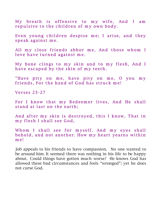My breath is offensive to my wife, And I am repulsive to the children of my own body.

Even young children despise me; I arise, and they speak against me.

All my close friends abhor me, And those whom I love have turned against me.

My bone clings to my skin and to my flesh, And I have escaped by the skin of my teeth.

"Have pity on me, have pity on me, O you my friends, For the hand of God has struck me!

**Verses 25-27** 

For I know that my Redeemer lives, And He shall stand at last on the earth;

And after my skin is destroyed, this I know, That in my flesh I shall see God,

Whom I shall see for myself, And my eyes shall behold, and not another. How my heart yearns within m e!

Job appeals to his friends to have compassion. No one wanted to be around him. It seemed there was nothing in his life to be happy about. Could things have gotten much worse? He knows God has allowed these bad circumstances and feels "wronged"; yet he does not curse God.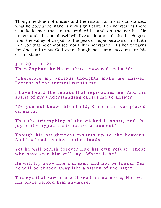Though he does not understand the reason for his circumstances, what he *does* understand is very significant. He understands there is a Redeemer that in the end will stand on the earth. He understands that he himself will live again after his death. He goes from the valley of despair to the peak of hope because of his faith in a God that he cannot see, nor fully understand. His heart yearns for God and trusts God even though he cannot account for his circumstances.

JOB 20:1-11, 21 Then Zophar the Naamathite answered and said:

"Therefore my anxious thoughts make me answer, Because of the turmoil within me.

I have heard the rebuke that reproaches me, And the spirit of my understanding causes me to answer.

"Do you not know this of old, Since man was placed on earth,

That the triumphing of the wicked is short, And the joy of the hypocrite is but for a moment?

Though his haughtiness mounts up to the heavens, And his head reaches to the clouds,

Yet he will perish forever like his own refuse; Those who have seen him will say, 'Where is he?'

He will fly away like a dream, and not be found; Yes, he will be chased away like a vision of the night.

The eye that saw him will see him no more, Nor will his place behold him anymore.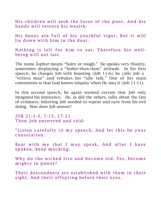His children will seek the favor of the poor, And his hands will restore his wealth.

His bones are full of his youthful vigor, But it will lie down with him in the dust.

Nothing is left for him to eat; Therefore his wellbeing will not last.

The name Zophar means "hairy or rough." He speaks very bluntly, sometimes displaying a "holier-than-thou" attitude. In his first speech, he charges Job with boasting (Job 11:6); he calls Job a "witless man" and rebukes his "idle talk." One of his main contentions is that God knows iniquity when He sees it (Job 11:11).

In this second speech, he again seemed certain that Job only imagined his innocence. He, as did the others, talks about the fate of evildoers, inferring Job needed to repent and turn from his evil doing. How does Job answer?

J OB 21:1-3, 7-15, 17-21 Then Job answered and said:

"Listen carefully to my speech, And let this be your c onsolation.

Bear with me that I may speak, And after I have spoken, keep mocking.

Why do the wicked live and become old, Yes, become mighty in power?

Their descendants are established with them in their sight, And their offspring before their eyes.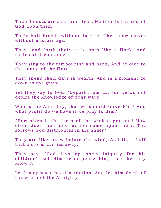Their houses are safe from fear, Neither is the rod of God upon them.

Their bull breeds without failure; Their cow calves without miscarriage.

They send forth their little ones like a flock, And their children dance.

They sing to the tambourine and harp, And rejoice to the sound of the flute.

They spend their days in wealth, And in a moment go down to the grave.

Yet they say to God, 'Depart from us, For we do not desire the knowledge of Your ways.

Who is the Almighty, that we should serve Him? And what profit do we have if we pray to Him?'

"How often is the lamp of the wicked put out? How often does their destruction come upon them, The sorrows God distributes in His anger?

They are like straw before the wind, And like chaff that a storm carries away.

They say, 'God lays up one's iniquity for his children'; Let Him recompense him, that he may know it.

Let his eyes see his destruction, And let him drink of the wrath of the Almighty.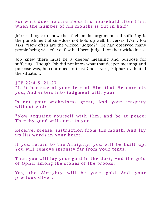#### For what does he care about his household after him, When the number of his months is cut in half?

Job used logic to show that their major argument—all suffering is the punishment of sin--does not hold up well. In verses 17-21, Job asks, "How often are the wicked judged?" He had observed many people being wicked, yet few had been judged for their wickedness.

Job knew there must be a deeper meaning and purpose for suffering. Though Job did not know what that deeper meaning and purpose was, he continued to trust God. Next, Eliphaz evaluated the situation.

J OB 22:4-5, 21-27 "Is it because of your fear of Him that He corrects you, And enters into judgment with you?

Is not your wickedness great, And your iniquity without end?

"Now acquaint yourself with Him, and be at peace; Thereby good will come to you.

Receive, please, instruction from His mouth, And lay up His words in your heart.

If you return to the Almighty, you will be built up; You will remove iniquity far from your tents.

Then you will lay your gold in the dust, And the gold of Ophir among the stones of the brooks.

Yes, the Almighty will be your gold And your precious silver;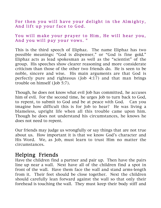For then you will have your delight in the Almighty, And lift up your face to God.

#### You will make your prayer to Him, He will hear you, And you will pay your vows. "

This is the third speech of Eliphaz. The name Eliphaz has two possible meanings: "God is dispenser," or "God is fine gold." Eliphaz acts as lead spokesman as well as the "scientist" of the group. His speeches show clearer reasoning and more considerate criticism than those of the other two friends do. He is seen to be noble, sincere and wise. His main arguments are that God is perfectly pure and righteous (Job 4:17) and that man brings trouble on himself (Job 5:7).

Though, he does not know what evil Job has committed, he accuses him of evil. For the second time, he urges Job to turn back to God, to repent, to submit to God and be at peace with God. Can you imagine how difficult this is for Job to hear? He was living a blameless, upright life when all this trouble came upon him. Though he does not understand his circumstances, he knows he does not need to repent.

Our friends may judge us wrongfully or say things that are not true about us. How important it is that we know God's character and His Word. We, as Job, must learn to trust Him no matter the circumstances.

### Helping Friends

Have the children find a partner and pair up. Then have the pairs line up near a wall. Next have all of the children find a spot in front of the wall. Have them face the wall and stand arms-length from it. Their feet should be close together. Next the children should carefully lean forward against the wall so that only their forehead is touching the wall. They must keep their body stiff and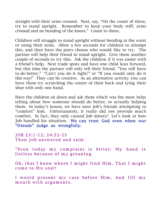straight with their arms crossed. Next, say, "On the count of three, try to stand upright. Remember to keep your body stiff, arms crossed and no bending of the knees." Count to three.

Children will struggle to stand upright without bending at the waist or using their arms. Allow a few seconds for children to attempt this, and then have the pairs choose who would like to try. The partner will help their friend to stand upright. Give them another couple of seconds to try this. Ask the children if it was easier with a friend's help. Next trade spots and have one child lean forward, but this time the partner will only tell their friend, "You will have to do better," "Can't you do it right?" or "If you would only do it this way!" They can be creative. As an alternative activity you can have them try scratching the center of their back and tying their shoe with only one hand.

Have the children sit down and ask them which was the most help; telling about how someone should do better, or actually helping them. In today's lesson, we have seen Job's friends attempting to "comfort" him. Unfortunately, it really did not provide much comfort. In fact, they only caused Job misery! Let's look at how Job handled his situation. We can trust God even when our "friends" judge us wrongfully.

J OB 23:1-12; 24:22-25 Then Job answered and said:

"Even today my complaint is bitter; My hand is listless because of my groaning.

Oh, that I knew where I might find Him, That I might come to His seat!

I would present my case before Him, And fill my m outh with arguments.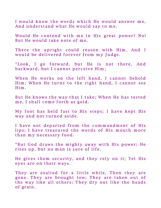I would know the words which He would answer me, And understand what He would say to me.

Would He contend with me in His great power? No! But He would take note of me.

There the upright could reason with Him, And I would be delivered forever from my Judge.

"Look, I go forward, but He is not there, And backward, but I cannot perceive Him;

When He works on the left hand, I cannot behold Him; When He turns to the right hand, I cannot see Him .

But He knows the way that I take; When He has tested me, I shall come forth as gold.

My foot has held fast to His steps; I have kept His way and not turned aside.

I have not departed from the commandment of His lips; I have treasured the words of His mouth more than my necessary food.

"But God draws the mighty away with His power; He rises up, but no man is sure of life.

He gives them security, and they rely on it; Yet His eyes are on their ways.

They are exalted for a little while, Then they are gone. They are brought low; They are taken out of the way like all others; They dry out like the heads of grain.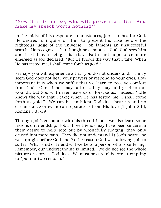#### "Now if it is not so, who will prove me a liar, And make my speech worth nothing?"

In the midst of his desperate circumstances, Job searches for God. He desires to inquire of Him, to present his case before the righteous judge of the universe. Job laments an unsuccessful search. He recognizes that though he cannot see God, God sees him and is still overseeing this trial. Faith and hope once more emerged as Job declared, "But He knows the way that I take; When He has tested me, I shall come forth as gold."

Perhaps you will experience a trial you do not understand. It may seem God does not hear your prayers or respond to your cries. How important it is when we suffer that we learn to receive comfort from God. Our friends may fail us…they may add grief to our wounds, but God will never leave us or forsake us. Indeed, "…He knows the way that I take; When He has tested me, I shall come forth as gold." We can be confident God does hear us and no circumstance or event can separate us from His love (1 John 5:14; Romans 8 35-39).

Through Job's encounter with his three friends, we also learn some lessons on friendship. Job's three friends may have been sincere in their desire to help Job; but by wrongfully judging, they only caused him more pain. They did not understand 1) Job's heart—he was upright before God and 2) the reason God was allowing Job to suffer. What kind of friend will we be to a person who is suffering? Remember, our understanding is limited. We do not see the whole picture or story as God does. We must be careful before attempting to "put our two cents in."